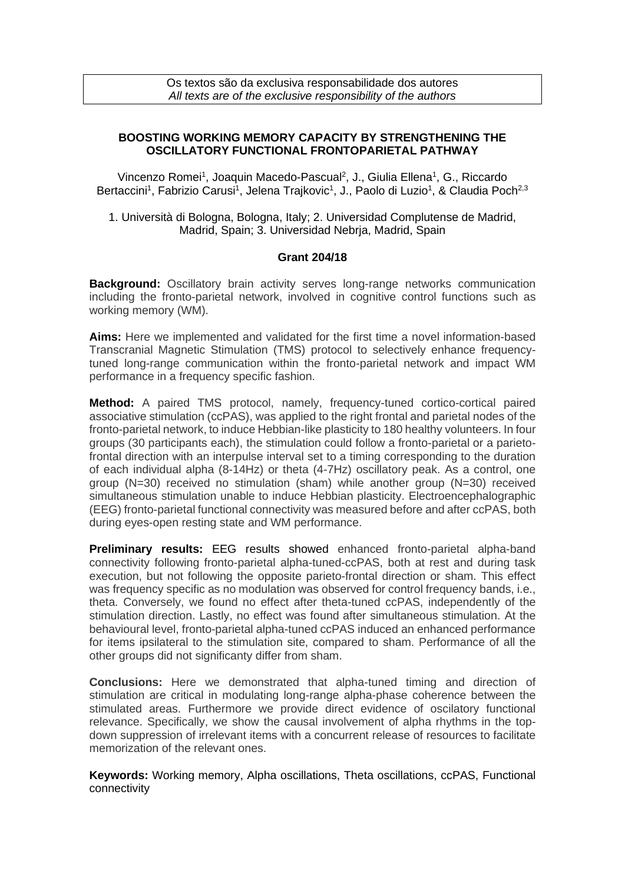## **BOOSTING WORKING MEMORY CAPACITY BY STRENGTHENING THE OSCILLATORY FUNCTIONAL FRONTOPARIETAL PATHWAY**

Vincenzo Romei<sup>1</sup>, Joaquin Macedo-Pascual<sup>2</sup>, J., Giulia Ellena<sup>1</sup>, G., Riccardo Bertaccini<sup>1</sup>, Fabrizio Carusi<sup>1</sup>, Jelena Trajkovic<sup>1</sup>, J., Paolo di Luzio<sup>1</sup>, & Claudia Poch<sup>2,3</sup>

1. Università di Bologna, Bologna, Italy; 2. Universidad Complutense de Madrid, Madrid, Spain; 3. Universidad Nebrja, Madrid, Spain

## **Grant 204/18**

**Background:** Oscillatory brain activity serves long-range networks communication including the fronto-parietal network, involved in cognitive control functions such as working memory (WM).

**Aims:** Here we implemented and validated for the first time a novel information-based Transcranial Magnetic Stimulation (TMS) protocol to selectively enhance frequencytuned long-range communication within the fronto-parietal network and impact WM performance in a frequency specific fashion.

**Method:** A paired TMS protocol, namely, frequency-tuned cortico-cortical paired associative stimulation (ccPAS), was applied to the right frontal and parietal nodes of the fronto-parietal network, to induce Hebbian-like plasticity to 180 healthy volunteers. In four groups (30 participants each), the stimulation could follow a fronto-parietal or a parietofrontal direction with an interpulse interval set to a timing corresponding to the duration of each individual alpha (8-14Hz) or theta (4-7Hz) oscillatory peak. As a control, one group (N=30) received no stimulation (sham) while another group (N=30) received simultaneous stimulation unable to induce Hebbian plasticity. Electroencephalographic (EEG) fronto-parietal functional connectivity was measured before and after ccPAS, both during eyes-open resting state and WM performance.

**Preliminary results:** EEG results showed enhanced fronto-parietal alpha-band connectivity following fronto-parietal alpha-tuned-ccPAS, both at rest and during task execution, but not following the opposite parieto-frontal direction or sham. This effect was frequency specific as no modulation was observed for control frequency bands, i.e., theta. Conversely, we found no effect after theta-tuned ccPAS, independently of the stimulation direction. Lastly, no effect was found after simultaneous stimulation. At the behavioural level, fronto-parietal alpha-tuned ccPAS induced an enhanced performance for items ipsilateral to the stimulation site, compared to sham. Performance of all the other groups did not significanty differ from sham.

**Conclusions:** Here we demonstrated that alpha-tuned timing and direction of stimulation are critical in modulating long-range alpha-phase coherence between the stimulated areas. Furthermore we provide direct evidence of oscilatory functional relevance. Specifically, we show the causal involvement of alpha rhythms in the topdown suppression of irrelevant items with a concurrent release of resources to facilitate memorization of the relevant ones.

**Keywords:** Working memory, Alpha oscillations, Theta oscillations, ccPAS, Functional connectivity